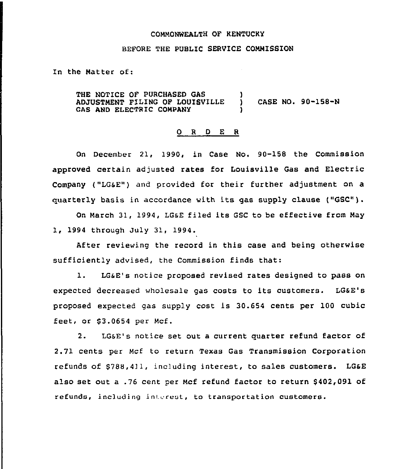## COMMONNEALTH OF KENTUCKY

## BEFORE THE PUBLIC SERVICE COMMISSION

In the Matter of:

THE NOTICE OF PURCHASED GAS (1) (1)<br>ADJUSTMENT FILING OF LOUISVILLE (1) ADJUSTMENT FILING OF LOUISVILLE ) CASE NO. 90-158-N GAS AND ELECTRIC COMPANY

## 0 <sup>R</sup> <sup>D</sup> E R

On December 21, 1990, in Case No. 90-158 the Commission approved certain adjusted rates for Louisville Gas and Electric Company ("LGsE") and provided for their further adjustment on a guarterly basis in accordance with its gas supply clause ("GSC") <sup>~</sup>

On March 31, 1994, LGsE filed its GSC to be effective from May 1, 1994 through July 31, 1994.

After reviewing the record in this case and being otherwise sufficiently advised, the Commission finds that:

1. LG&E's notice proposed revised rates designed to pass on expected decreased wholesale gas costs to its customers. LGaE's proposed expected gas supply cost is 30.654 cents per 100 cubic feet, or \$3.0654 per Mcf.

2. LG&E's notice set out a current quarter refund factor of 2.71 cents per Mcf to return Texas Gas Transmission Corporation refunds of \$788,411, including interest, to sales customers. LG&E also set out a .76 cent per Mcf refund factor to return \$402,091 of refunds, including interest, to transportation customers.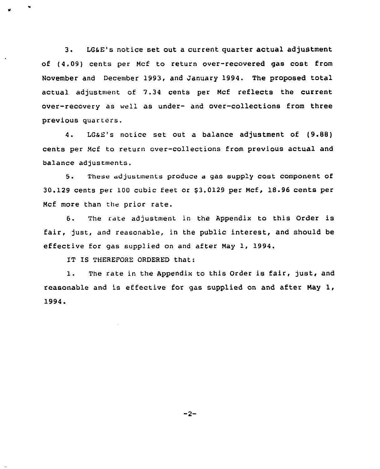3. LGsE's notice set out a current quarter actual adjustment of (4.09) cents per Ncf to return over-recovered gas cost from November and December 1993, and January 1994. The proposed total actual adjustment of 7.34 cents per Ncf reflects the current over-recovery as well as under- and over-collections from three previous quarters.

4. LGsE's notice set out a balance adjustment of (9.88) cents per Ncf to return over-collections from previous actual and balance adjustments.

5. These adjustments produce <sup>a</sup> gas supply cost component of 30.129 cents per 100 cubic feet or 63.0129 per Ncf, 18.96 cents per Ncf more than the prior rate.

6. The rate adjustment in the Appendix to this Order is fair, just, and reasonable, in the public interest, and should be effective for gas supplied on and after Nay 1, 1994.

IT IS THEREFORE ORDERED that:

1. The rate in the Appendix to this Order is fair, just, and reasonable and is effective for gas supplied on and after May  $1$ , 1994.

 $-2-$